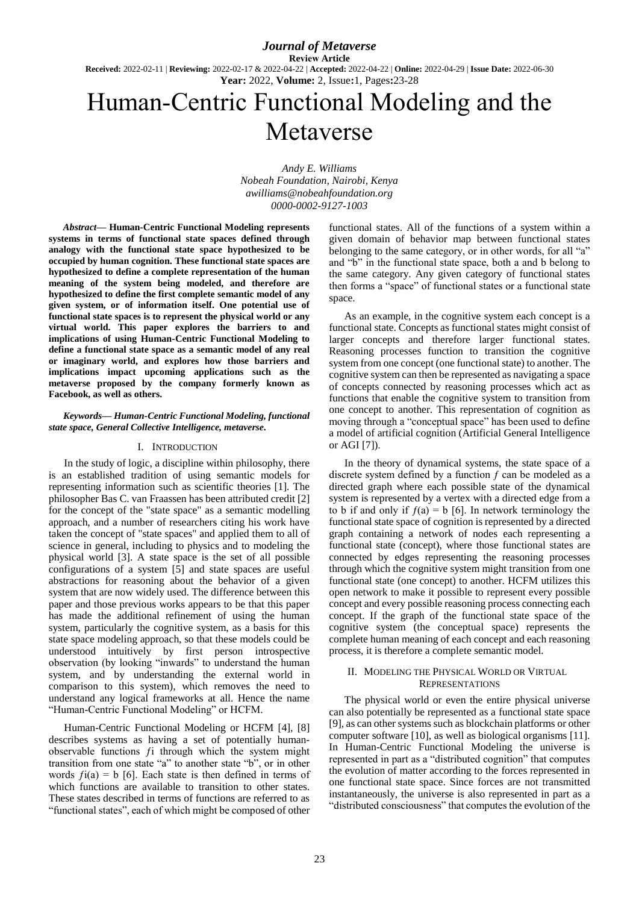*Journal of Metaverse* **Review Article Received:** 2022-02-11 | **Reviewing:** 2022-02-17 & 2022-04-22 | **Accepted:** 2022-04-22 | **Online:** 2022-04-29 | **Issue Date:** 2022-06-30 **Year:** 2022, **Volume:** 2, Issue**:**1, Pages**:**23-28

# Human-Centric Functional Modeling and the Metaverse

*Andy E. Williams Nobeah Foundation, Nairobi, Kenya awilliams@nobeahfoundation.org 0000-0002-9127-1003*

*Abstract***— Human-Centric Functional Modeling represents systems in terms of functional state spaces defined through analogy with the functional state space hypothesized to be occupied by human cognition. These functional state spaces are hypothesized to define a complete representation of the human meaning of the system being modeled, and therefore are hypothesized to define the first complete semantic model of any given system, or of information itself. One potential use of functional state spaces is to represent the physical world or any virtual world. This paper explores the barriers to and implications of using Human-Centric Functional Modeling to define a functional state space as a semantic model of any real or imaginary world, and explores how those barriers and implications impact upcoming applications such as the metaverse proposed by the company formerly known as Facebook, as well as others.**

#### *Keywords— Human-Centric Functional Modeling, functional state space, General Collective Intelligence, metaverse.*

## I. INTRODUCTION

In the study of logic, a discipline within philosophy, there is an established tradition of using semantic models for representing information such as scientific theories [1]. The philosopher Bas C. van Fraassen has been attributed credit [2] for the concept of the "state space" as a semantic modelling approach, and a number of researchers citing his work have taken the concept of "state spaces" and applied them to all of science in general, including to physics and to modeling the physical world [3]. A state space is the set of all possible configurations of a system [5] and state spaces are useful abstractions for reasoning about the behavior of a given system that are now widely used. The difference between this paper and those previous works appears to be that this paper has made the additional refinement of using the human system, particularly the cognitive system, as a basis for this state space modeling approach, so that these models could be understood intuitively by first person introspective observation (by looking "inwards" to understand the human system, and by understanding the external world in comparison to this system), which removes the need to understand any logical frameworks at all. Hence the name "Human-Centric Functional Modeling" or HCFM.

Human-Centric Functional Modeling or HCFM [4], [8] describes systems as having a set of potentially humanobservable functions ƒi through which the system might transition from one state "a" to another state "b", or in other words  $f_i(a) = b$  [6]. Each state is then defined in terms of which functions are available to transition to other states. These states described in terms of functions are referred to as "functional states", each of which might be composed of other

functional states. All of the functions of a system within a given domain of behavior map between functional states belonging to the same category, or in other words, for all "a" and "b" in the functional state space, both a and b belong to the same category. Any given category of functional states then forms a "space" of functional states or a functional state space.

As an example, in the cognitive system each concept is a functional state. Concepts as functional states might consist of larger concepts and therefore larger functional states. Reasoning processes function to transition the cognitive system from one concept (one functional state) to another. The cognitive system can then be represented as navigating a space of concepts connected by reasoning processes which act as functions that enable the cognitive system to transition from one concept to another. This representation of cognition as moving through a "conceptual space" has been used to define a model of artificial cognition (Artificial General Intelligence or AGI [7]).

In the theory of dynamical systems, the state space of a discrete system defined by a function  $f$  can be modeled as a directed graph where each possible state of the dynamical system is represented by a vertex with a directed edge from a to b if and only if  $f(a) = b$  [6]. In network terminology the functional state space of cognition is represented by a directed graph containing a network of nodes each representing a functional state (concept), where those functional states are connected by edges representing the reasoning processes through which the cognitive system might transition from one functional state (one concept) to another. HCFM utilizes this open network to make it possible to represent every possible concept and every possible reasoning process connecting each concept. If the graph of the functional state space of the cognitive system (the conceptual space) represents the complete human meaning of each concept and each reasoning process, it is therefore a complete semantic model.

## II. MODELING THE PHYSICAL WORLD OR VIRTUAL **REPRESENTATIONS**

The physical world or even the entire physical universe can also potentially be represented as a functional state space [9], as can other systems such as blockchain platforms or other computer software [10], as well as biological organisms [11]. In Human-Centric Functional Modeling the universe is represented in part as a "distributed cognition" that computes the evolution of matter according to the forces represented in one functional state space. Since forces are not transmitted instantaneously, the universe is also represented in part as a "distributed consciousness" that computes the evolution of the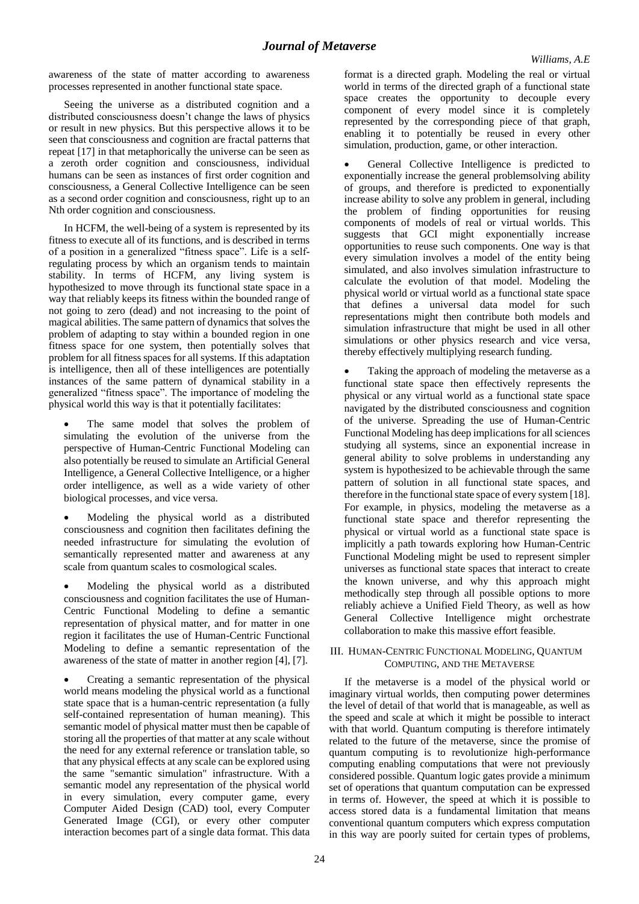awareness of the state of matter according to awareness processes represented in another functional state space.

Seeing the universe as a distributed cognition and a distributed consciousness doesn't change the laws of physics or result in new physics. But this perspective allows it to be seen that consciousness and cognition are fractal patterns that repeat [17] in that metaphorically the universe can be seen as a zeroth order cognition and consciousness, individual humans can be seen as instances of first order cognition and consciousness, a General Collective Intelligence can be seen as a second order cognition and consciousness, right up to an Nth order cognition and consciousness.

In HCFM, the well-being of a system is represented by its fitness to execute all of its functions, and is described in terms of a position in a generalized "fitness space". Life is a selfregulating process by which an organism tends to maintain stability. In terms of HCFM, any living system is hypothesized to move through its functional state space in a way that reliably keeps its fitness within the bounded range of not going to zero (dead) and not increasing to the point of magical abilities. The same pattern of dynamics that solves the problem of adapting to stay within a bounded region in one fitness space for one system, then potentially solves that problem for all fitness spaces for all systems. If this adaptation is intelligence, then all of these intelligences are potentially instances of the same pattern of dynamical stability in a generalized "fitness space". The importance of modeling the physical world this way is that it potentially facilitates:

 The same model that solves the problem of simulating the evolution of the universe from the perspective of Human-Centric Functional Modeling can also potentially be reused to simulate an Artificial General Intelligence, a General Collective Intelligence, or a higher order intelligence, as well as a wide variety of other biological processes, and vice versa.

 Modeling the physical world as a distributed consciousness and cognition then facilitates defining the needed infrastructure for simulating the evolution of semantically represented matter and awareness at any scale from quantum scales to cosmological scales.

 Modeling the physical world as a distributed consciousness and cognition facilitates the use of Human-Centric Functional Modeling to define a semantic representation of physical matter, and for matter in one region it facilitates the use of Human-Centric Functional Modeling to define a semantic representation of the awareness of the state of matter in another region [4], [7].

 Creating a semantic representation of the physical world means modeling the physical world as a functional state space that is a human-centric representation (a fully self-contained representation of human meaning). This semantic model of physical matter must then be capable of storing all the properties of that matter at any scale without the need for any external reference or translation table, so that any physical effects at any scale can be explored using the same "semantic simulation" infrastructure. With a semantic model any representation of the physical world in every simulation, every computer game, every Computer Aided Design (CAD) tool, every Computer Generated Image (CGI), or every other computer interaction becomes part of a single data format. This data

format is a directed graph. Modeling the real or virtual world in terms of the directed graph of a functional state space creates the opportunity to decouple every component of every model since it is completely represented by the corresponding piece of that graph, enabling it to potentially be reused in every other simulation, production, game, or other interaction.

 General Collective Intelligence is predicted to exponentially increase the general problemsolving ability of groups, and therefore is predicted to exponentially increase ability to solve any problem in general, including the problem of finding opportunities for reusing components of models of real or virtual worlds. This suggests that GCI might exponentially increase opportunities to reuse such components. One way is that every simulation involves a model of the entity being simulated, and also involves simulation infrastructure to calculate the evolution of that model. Modeling the physical world or virtual world as a functional state space that defines a universal data model for such representations might then contribute both models and simulation infrastructure that might be used in all other simulations or other physics research and vice versa, thereby effectively multiplying research funding.

 Taking the approach of modeling the metaverse as a functional state space then effectively represents the physical or any virtual world as a functional state space navigated by the distributed consciousness and cognition of the universe. Spreading the use of Human-Centric Functional Modeling has deep implications for all sciences studying all systems, since an exponential increase in general ability to solve problems in understanding any system is hypothesized to be achievable through the same pattern of solution in all functional state spaces, and therefore in the functional state space of every system [18]. For example, in physics, modeling the metaverse as a functional state space and therefor representing the physical or virtual world as a functional state space is implicitly a path towards exploring how Human-Centric Functional Modeling might be used to represent simpler universes as functional state spaces that interact to create the known universe, and why this approach might methodically step through all possible options to more reliably achieve a Unified Field Theory, as well as how General Collective Intelligence might orchestrate collaboration to make this massive effort feasible.

# III. HUMAN-CENTRIC FUNCTIONAL MODELING, QUANTUM COMPUTING, AND THE METAVERSE

If the metaverse is a model of the physical world or imaginary virtual worlds, then computing power determines the level of detail of that world that is manageable, as well as the speed and scale at which it might be possible to interact with that world. Quantum computing is therefore intimately related to the future of the metaverse, since the promise of quantum computing is to revolutionize high-performance computing enabling computations that were not previously considered possible. Quantum logic gates provide a minimum set of operations that quantum computation can be expressed in terms of. However, the speed at which it is possible to access stored data is a fundamental limitation that means conventional quantum computers which express computation in this way are poorly suited for certain types of problems,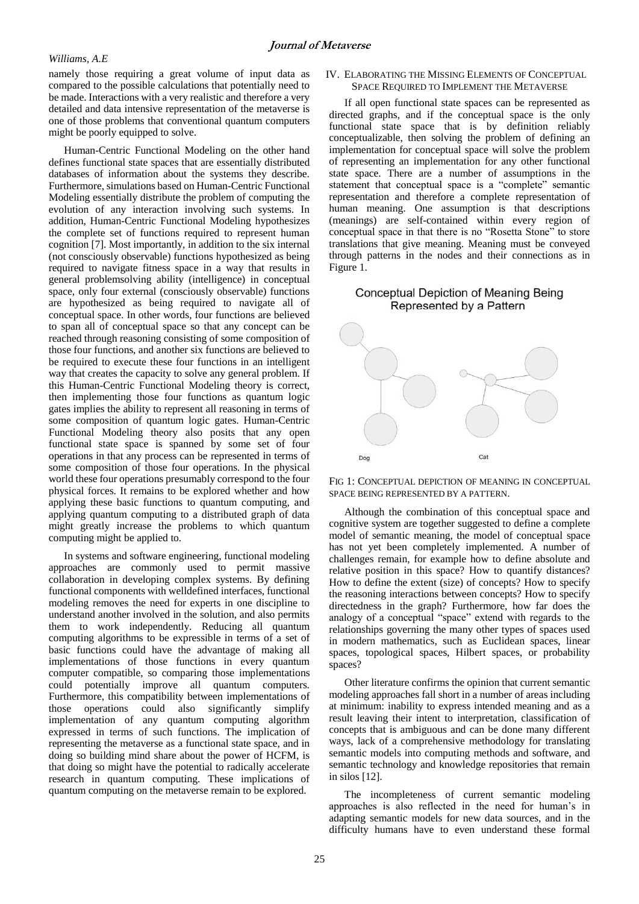## *Williams, A.E*

namely those requiring a great volume of input data as compared to the possible calculations that potentially need to be made. Interactions with a very realistic and therefore a very detailed and data intensive representation of the metaverse is one of those problems that conventional quantum computers might be poorly equipped to solve.

Human-Centric Functional Modeling on the other hand defines functional state spaces that are essentially distributed databases of information about the systems they describe. Furthermore, simulations based on Human-Centric Functional Modeling essentially distribute the problem of computing the evolution of any interaction involving such systems. In addition, Human-Centric Functional Modeling hypothesizes the complete set of functions required to represent human cognition [7]. Most importantly, in addition to the six internal (not consciously observable) functions hypothesized as being required to navigate fitness space in a way that results in general problemsolving ability (intelligence) in conceptual space, only four external (consciously observable) functions are hypothesized as being required to navigate all of conceptual space. In other words, four functions are believed to span all of conceptual space so that any concept can be reached through reasoning consisting of some composition of those four functions, and another six functions are believed to be required to execute these four functions in an intelligent way that creates the capacity to solve any general problem. If this Human-Centric Functional Modeling theory is correct, then implementing those four functions as quantum logic gates implies the ability to represent all reasoning in terms of some composition of quantum logic gates. Human-Centric Functional Modeling theory also posits that any open functional state space is spanned by some set of four operations in that any process can be represented in terms of some composition of those four operations. In the physical world these four operations presumably correspond to the four physical forces. It remains to be explored whether and how applying these basic functions to quantum computing, and applying quantum computing to a distributed graph of data might greatly increase the problems to which quantum computing might be applied to.

In systems and software engineering, functional modeling approaches are commonly used to permit massive collaboration in developing complex systems. By defining functional components with welldefined interfaces, functional modeling removes the need for experts in one discipline to understand another involved in the solution, and also permits them to work independently. Reducing all quantum computing algorithms to be expressible in terms of a set of basic functions could have the advantage of making all implementations of those functions in every quantum computer compatible, so comparing those implementations could potentially improve all quantum computers. Furthermore, this compatibility between implementations of those operations could also significantly simplify implementation of any quantum computing algorithm expressed in terms of such functions. The implication of representing the metaverse as a functional state space, and in doing so building mind share about the power of HCFM, is that doing so might have the potential to radically accelerate research in quantum computing. These implications of quantum computing on the metaverse remain to be explored.

# IV. ELABORATING THE MISSING ELEMENTS OF CONCEPTUAL SPACE REQUIRED TO IMPLEMENT THE METAVERSE

If all open functional state spaces can be represented as directed graphs, and if the conceptual space is the only functional state space that is by definition reliably conceptualizable, then solving the problem of defining an implementation for conceptual space will solve the problem of representing an implementation for any other functional state space. There are a number of assumptions in the statement that conceptual space is a "complete" semantic representation and therefore a complete representation of human meaning. One assumption is that descriptions (meanings) are self-contained within every region of conceptual space in that there is no "Rosetta Stone" to store translations that give meaning. Meaning must be conveyed through patterns in the nodes and their connections as in Figure 1.

# **Conceptual Depiction of Meaning Being** Represented by a Pattern



FIG 1: CONCEPTUAL DEPICTION OF MEANING IN CONCEPTUAL SPACE BEING REPRESENTED BY A PATTERN.

Although the combination of this conceptual space and cognitive system are together suggested to define a complete model of semantic meaning, the model of conceptual space has not yet been completely implemented. A number of challenges remain, for example how to define absolute and relative position in this space? How to quantify distances? How to define the extent (size) of concepts? How to specify the reasoning interactions between concepts? How to specify directedness in the graph? Furthermore, how far does the analogy of a conceptual "space" extend with regards to the relationships governing the many other types of spaces used in modern mathematics, such as Euclidean spaces, linear spaces, topological spaces, Hilbert spaces, or probability spaces?

Other literature confirms the opinion that current semantic modeling approaches fall short in a number of areas including at minimum: inability to express intended meaning and as a result leaving their intent to interpretation, classification of concepts that is ambiguous and can be done many different ways, lack of a comprehensive methodology for translating semantic models into computing methods and software, and semantic technology and knowledge repositories that remain in silos [12].

The incompleteness of current semantic modeling approaches is also reflected in the need for human's in adapting semantic models for new data sources, and in the difficulty humans have to even understand these formal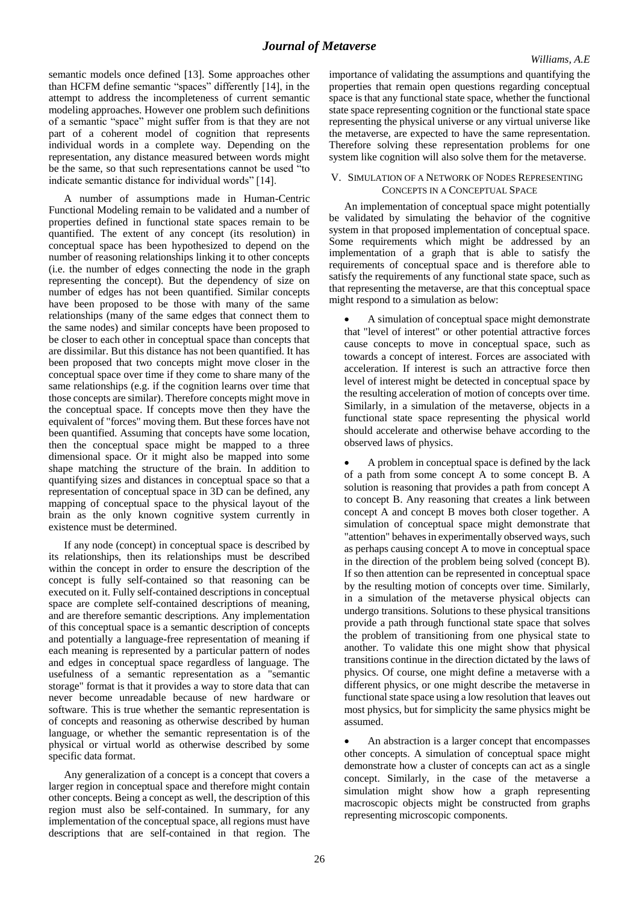semantic models once defined [13]. Some approaches other than HCFM define semantic "spaces" differently [14], in the attempt to address the incompleteness of current semantic modeling approaches. However one problem such definitions of a semantic "space" might suffer from is that they are not part of a coherent model of cognition that represents individual words in a complete way. Depending on the representation, any distance measured between words might be the same, so that such representations cannot be used "to indicate semantic distance for individual words" [14].

A number of assumptions made in Human-Centric Functional Modeling remain to be validated and a number of properties defined in functional state spaces remain to be quantified. The extent of any concept (its resolution) in conceptual space has been hypothesized to depend on the number of reasoning relationships linking it to other concepts (i.e. the number of edges connecting the node in the graph representing the concept). But the dependency of size on number of edges has not been quantified. Similar concepts have been proposed to be those with many of the same relationships (many of the same edges that connect them to the same nodes) and similar concepts have been proposed to be closer to each other in conceptual space than concepts that are dissimilar. But this distance has not been quantified. It has been proposed that two concepts might move closer in the conceptual space over time if they come to share many of the same relationships (e.g. if the cognition learns over time that those concepts are similar). Therefore concepts might move in the conceptual space. If concepts move then they have the equivalent of "forces" moving them. But these forces have not been quantified. Assuming that concepts have some location, then the conceptual space might be mapped to a three dimensional space. Or it might also be mapped into some shape matching the structure of the brain. In addition to quantifying sizes and distances in conceptual space so that a representation of conceptual space in 3D can be defined, any mapping of conceptual space to the physical layout of the brain as the only known cognitive system currently in existence must be determined.

If any node (concept) in conceptual space is described by its relationships, then its relationships must be described within the concept in order to ensure the description of the concept is fully self-contained so that reasoning can be executed on it. Fully self-contained descriptions in conceptual space are complete self-contained descriptions of meaning, and are therefore semantic descriptions. Any implementation of this conceptual space is a semantic description of concepts and potentially a language-free representation of meaning if each meaning is represented by a particular pattern of nodes and edges in conceptual space regardless of language. The usefulness of a semantic representation as a "semantic storage" format is that it provides a way to store data that can never become unreadable because of new hardware or software. This is true whether the semantic representation is of concepts and reasoning as otherwise described by human language, or whether the semantic representation is of the physical or virtual world as otherwise described by some specific data format.

Any generalization of a concept is a concept that covers a larger region in conceptual space and therefore might contain other concepts. Being a concept as well, the description of this region must also be self-contained. In summary, for any implementation of the conceptual space, all regions must have descriptions that are self-contained in that region. The

importance of validating the assumptions and quantifying the properties that remain open questions regarding conceptual space is that any functional state space, whether the functional state space representing cognition or the functional state space representing the physical universe or any virtual universe like the metaverse, are expected to have the same representation. Therefore solving these representation problems for one system like cognition will also solve them for the metaverse.

# V. SIMULATION OF A NETWORK OF NODES REPRESENTING CONCEPTS IN A CONCEPTUAL SPACE

An implementation of conceptual space might potentially be validated by simulating the behavior of the cognitive system in that proposed implementation of conceptual space. Some requirements which might be addressed by an implementation of a graph that is able to satisfy the requirements of conceptual space and is therefore able to satisfy the requirements of any functional state space, such as that representing the metaverse, are that this conceptual space might respond to a simulation as below:

 A simulation of conceptual space might demonstrate that "level of interest" or other potential attractive forces cause concepts to move in conceptual space, such as towards a concept of interest. Forces are associated with acceleration. If interest is such an attractive force then level of interest might be detected in conceptual space by the resulting acceleration of motion of concepts over time. Similarly, in a simulation of the metaverse, objects in a functional state space representing the physical world should accelerate and otherwise behave according to the observed laws of physics.

 A problem in conceptual space is defined by the lack of a path from some concept A to some concept B. A solution is reasoning that provides a path from concept A to concept B. Any reasoning that creates a link between concept A and concept B moves both closer together. A simulation of conceptual space might demonstrate that "attention" behaves in experimentally observed ways, such as perhaps causing concept A to move in conceptual space in the direction of the problem being solved (concept B). If so then attention can be represented in conceptual space by the resulting motion of concepts over time. Similarly, in a simulation of the metaverse physical objects can undergo transitions. Solutions to these physical transitions provide a path through functional state space that solves the problem of transitioning from one physical state to another. To validate this one might show that physical transitions continue in the direction dictated by the laws of physics. Of course, one might define a metaverse with a different physics, or one might describe the metaverse in functional state space using a low resolution that leaves out most physics, but for simplicity the same physics might be assumed.

 An abstraction is a larger concept that encompasses other concepts. A simulation of conceptual space might demonstrate how a cluster of concepts can act as a single concept. Similarly, in the case of the metaverse a simulation might show how a graph representing macroscopic objects might be constructed from graphs representing microscopic components.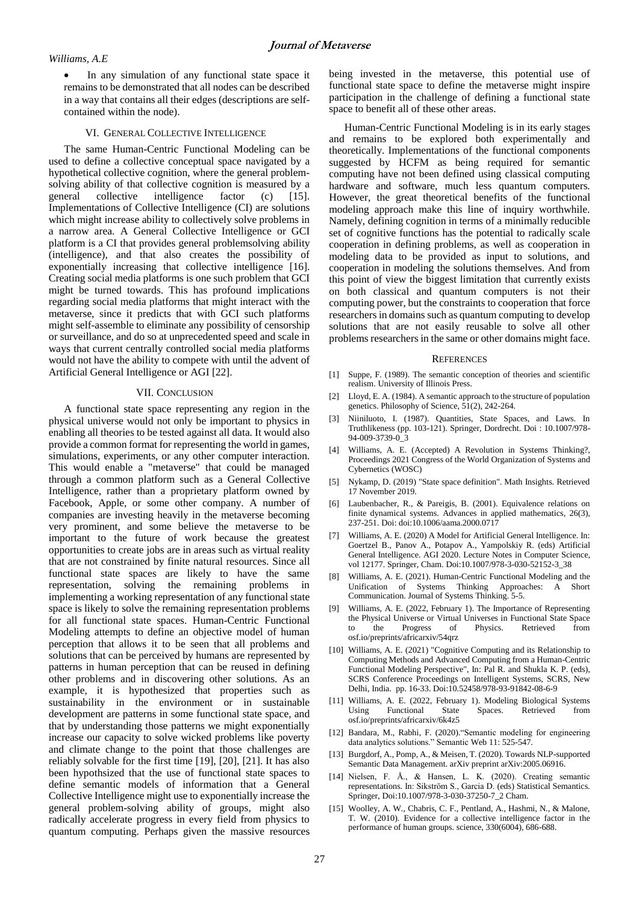In any simulation of any functional state space it remains to be demonstrated that all nodes can be described in a way that contains all their edges (descriptions are selfcontained within the node).

## VI. GENERAL COLLECTIVE INTELLIGENCE

The same Human-Centric Functional Modeling can be used to define a collective conceptual space navigated by a hypothetical collective cognition, where the general problemsolving ability of that collective cognition is measured by a general collective intelligence factor (c) [15]. Implementations of Collective Intelligence (CI) are solutions which might increase ability to collectively solve problems in a narrow area. A General Collective Intelligence or GCI platform is a CI that provides general problemsolving ability (intelligence), and that also creates the possibility of exponentially increasing that collective intelligence [16]. Creating social media platforms is one such problem that GCI might be turned towards. This has profound implications regarding social media platforms that might interact with the metaverse, since it predicts that with GCI such platforms might self-assemble to eliminate any possibility of censorship or surveillance, and do so at unprecedented speed and scale in ways that current centrally controlled social media platforms would not have the ability to compete with until the advent of Artificial General Intelligence or AGI [22].

#### VII. CONCLUSION

A functional state space representing any region in the physical universe would not only be important to physics in enabling all theories to be tested against all data. It would also provide a common format for representing the world in games, simulations, experiments, or any other computer interaction. This would enable a "metaverse" that could be managed through a common platform such as a General Collective Intelligence, rather than a proprietary platform owned by Facebook, Apple, or some other company. A number of companies are investing heavily in the metaverse becoming very prominent, and some believe the metaverse to be important to the future of work because the greatest opportunities to create jobs are in areas such as virtual reality that are not constrained by finite natural resources. Since all functional state spaces are likely to have the same representation, solving the remaining problems in implementing a working representation of any functional state space is likely to solve the remaining representation problems for all functional state spaces. Human-Centric Functional Modeling attempts to define an objective model of human perception that allows it to be seen that all problems and solutions that can be perceived by humans are represented by patterns in human perception that can be reused in defining other problems and in discovering other solutions. As an example, it is hypothesized that properties such as sustainability in the environment or in sustainable development are patterns in some functional state space, and that by understanding those patterns we might exponentially increase our capacity to solve wicked problems like poverty and climate change to the point that those challenges are reliably solvable for the first time [19], [20], [21]. It has also been hypothsized that the use of functional state spaces to define semantic models of information that a General Collective Intelligence might use to exponentially increase the general problem-solving ability of groups, might also radically accelerate progress in every field from physics to quantum computing. Perhaps given the massive resources

being invested in the metaverse, this potential use of functional state space to define the metaverse might inspire participation in the challenge of defining a functional state space to benefit all of these other areas.

Human-Centric Functional Modeling is in its early stages and remains to be explored both experimentally and theoretically. Implementations of the functional components suggested by HCFM as being required for semantic computing have not been defined using classical computing hardware and software, much less quantum computers. However, the great theoretical benefits of the functional modeling approach make this line of inquiry worthwhile. Namely, defining cognition in terms of a minimally reducible set of cognitive functions has the potential to radically scale cooperation in defining problems, as well as cooperation in modeling data to be provided as input to solutions, and cooperation in modeling the solutions themselves. And from this point of view the biggest limitation that currently exists on both classical and quantum computers is not their computing power, but the constraints to cooperation that force researchers in domains such as quantum computing to develop solutions that are not easily reusable to solve all other problems researchers in the same or other domains might face.

#### **REFERENCES**

- [1] Suppe, F. (1989). The semantic conception of theories and scientific realism. University of Illinois Press.
- [2] Lloyd, E. A. (1984). A semantic approach to the structure of population genetics. Philosophy of Science, 51(2), 242-264.
- Niiniluoto, I. (1987). Quantities, State Spaces, and Laws. In Truthlikeness (pp. 103-121). Springer, Dordrecht. Doi : 10.1007/978-  $94 - 009 - 3739 - 0$  3
- [4] Williams, A. E. (Accepted) A Revolution in Systems Thinking?, Proceedings 2021 Congress of the World Organization of Systems and Cybernetics (WOSC)
- [5] Nykamp, D. (2019) "State space definition". Math Insights. Retrieved 17 November 2019.
- [6] Laubenbacher, R., & Pareigis, B. (2001). Equivalence relations on finite dynamical systems. Advances in applied mathematics, 26(3), 237-251. Doi: doi:10.1006/aama.2000.0717
- [7] Williams, A. E. (2020) A Model for Artificial General Intelligence. In: Goertzel B., Panov A., Potapov A., Yampolskiy R. (eds) Artificial General Intelligence. AGI 2020. Lecture Notes in Computer Science, vol 12177. Springer, Cham. Doi:10.1007/978-3-030-52152-3\_38
- Williams, A. E. (2021). Human-Centric Functional Modeling and the Unification of Systems Thinking Approaches: A Short Communication. Journal of Systems Thinking. 5-5.
- Williams, A. E. (2022, February 1). The Importance of Representing the Physical Universe or Virtual Universes in Functional State Space to the Progress of Physics. Retrieved from osf.io/preprints/africarxiv/54qrz
- [10] Williams, A. E. (2021) "Cognitive Computing and its Relationship to Computing Methods and Advanced Computing from a Human-Centric Functional Modeling Perspective", In: Pal R. and Shukla K. P. (eds), SCRS Conference Proceedings on Intelligent Systems, SCRS, New Delhi, India. pp. 16-33. Doi:10.52458/978-93-91842-08-6-9
- [11] Williams, A. E. (2022, February 1). Modeling Biological Systems Using Functional State Spaces. Retrieved from osf.io/preprints/africarxiv/6k4z5
- [12] Bandara, M., Rabhi, F. (2020)."Semantic modeling for engineering data analytics solutions." Semantic Web 11: 525-547.
- [13] Burgdorf, A., Pomp, A., & Meisen, T. (2020). Towards NLP-supported Semantic Data Management. arXiv preprint arXiv:2005.06916.
- [14] Nielsen, F. Å., & Hansen, L. K. (2020). Creating semantic representations. In: Sikström S., Garcia D. (eds) Statistical Semantics. Springer, Doi:10.1007/978-3-030-37250-7\_2 Cham.
- [15] Woolley, A. W., Chabris, C. F., Pentland, A., Hashmi, N., & Malone, T. W. (2010). Evidence for a collective intelligence factor in the performance of human groups. science, 330(6004), 686-688.